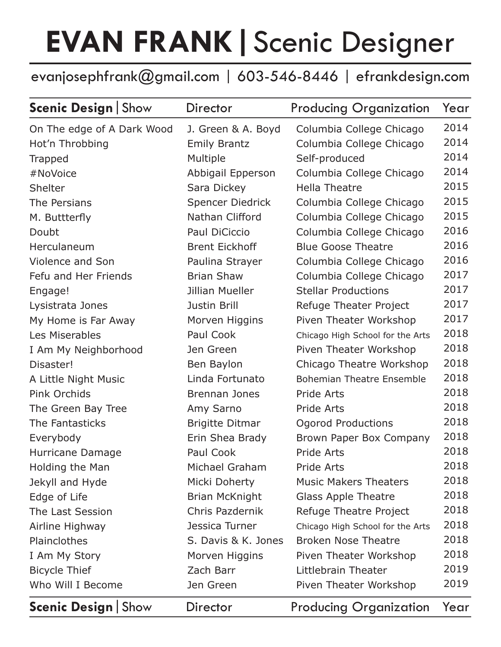## **EVAN FRANK|**Scenic Designer

## evanjosephfrank@gmail.com | 603-546-8446 | efrankdesign.com

| <b>Scenic Design   Show</b> | Director                | <b>Producing Organization</b>    | Year |
|-----------------------------|-------------------------|----------------------------------|------|
| On The edge of A Dark Wood  | J. Green & A. Boyd      | Columbia College Chicago         | 2014 |
| Hot'n Throbbing             | <b>Emily Brantz</b>     | Columbia College Chicago         | 2014 |
| <b>Trapped</b>              | Multiple                | Self-produced                    | 2014 |
| #NoVoice                    | Abbigail Epperson       | Columbia College Chicago         | 2014 |
| Shelter                     | Sara Dickey             | <b>Hella Theatre</b>             | 2015 |
| The Persians                | <b>Spencer Diedrick</b> | Columbia College Chicago         | 2015 |
| M. Buttterfly               | Nathan Clifford         | Columbia College Chicago         | 2015 |
| Doubt                       | Paul DiCiccio           | Columbia College Chicago         | 2016 |
| Herculaneum                 | <b>Brent Eickhoff</b>   | <b>Blue Goose Theatre</b>        | 2016 |
| Violence and Son            | Paulina Strayer         | Columbia College Chicago         | 2016 |
| Fefu and Her Friends        | <b>Brian Shaw</b>       | Columbia College Chicago         | 2017 |
| Engage!                     | Jillian Mueller         | <b>Stellar Productions</b>       | 2017 |
| Lysistrata Jones            | Justin Brill            | Refuge Theater Project           | 2017 |
| My Home is Far Away         | Morven Higgins          | Piven Theater Workshop           | 2017 |
| Les Miserables              | Paul Cook               | Chicago High School for the Arts | 2018 |
| I Am My Neighborhood        | Jen Green               | Piven Theater Workshop           | 2018 |
| Disaster!                   | Ben Baylon              | Chicago Theatre Workshop         | 2018 |
| A Little Night Music        | Linda Fortunato         | <b>Bohemian Theatre Ensemble</b> | 2018 |
| Pink Orchids                | <b>Brennan Jones</b>    | Pride Arts                       | 2018 |
| The Green Bay Tree          | Amy Sarno               | Pride Arts                       | 2018 |
| The Fantasticks             | <b>Brigitte Ditmar</b>  | Ogorod Productions               | 2018 |
| Everybody                   | Erin Shea Brady         | Brown Paper Box Company          | 2018 |
| Hurricane Damage            | Paul Cook               | Pride Arts                       | 2018 |
| Holding the Man             | Michael Graham          | Pride Arts                       | 2018 |
| Jekyll and Hyde             | Micki Doherty           | <b>Music Makers Theaters</b>     | 2018 |
| Edge of Life                | Brian McKnight          | <b>Glass Apple Theatre</b>       | 2018 |
| The Last Session            | Chris Pazdernik         | Refuge Theatre Project           | 2018 |
| Airline Highway             | Jessica Turner          | Chicago High School for the Arts | 2018 |
| Plainclothes                | S. Davis & K. Jones     | <b>Broken Nose Theatre</b>       | 2018 |
| I Am My Story               | Morven Higgins          | Piven Theater Workshop           | 2018 |
| <b>Bicycle Thief</b>        | Zach Barr               | Littlebrain Theater              | 2019 |
| Who Will I Become           | Jen Green               | Piven Theater Workshop           | 2019 |
| <b>Scenic Design   Show</b> | Director                | <b>Producing Organization</b>    | Year |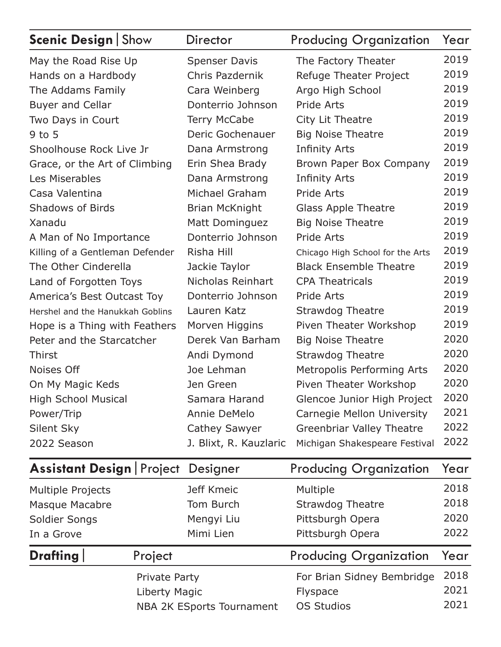| <b>Scenic Design   Show</b>      | Director               | <b>Producing Organization</b>    | Year |
|----------------------------------|------------------------|----------------------------------|------|
| May the Road Rise Up             | <b>Spenser Davis</b>   | The Factory Theater              | 2019 |
| Hands on a Hardbody              | Chris Pazdernik        | Refuge Theater Project           | 2019 |
| The Addams Family                | Cara Weinberg          | Argo High School                 | 2019 |
| <b>Buyer and Cellar</b>          | Donterrio Johnson      | Pride Arts                       | 2019 |
| Two Days in Court                | <b>Terry McCabe</b>    | City Lit Theatre                 | 2019 |
| $9$ to $5$                       | Deric Gochenauer       | <b>Big Noise Theatre</b>         | 2019 |
| Shoolhouse Rock Live Jr          | Dana Armstrong         | <b>Infinity Arts</b>             | 2019 |
| Grace, or the Art of Climbing    | Erin Shea Brady        | Brown Paper Box Company          | 2019 |
| Les Miserables                   | Dana Armstrong         | <b>Infinity Arts</b>             | 2019 |
| Casa Valentina                   | Michael Graham         | Pride Arts                       | 2019 |
| <b>Shadows of Birds</b>          | Brian McKnight         | <b>Glass Apple Theatre</b>       | 2019 |
| Xanadu                           | Matt Dominguez         | <b>Big Noise Theatre</b>         | 2019 |
| A Man of No Importance           | Donterrio Johnson      | Pride Arts                       | 2019 |
| Killing of a Gentleman Defender  | Risha Hill             | Chicago High School for the Arts | 2019 |
| The Other Cinderella             | Jackie Taylor          | <b>Black Ensemble Theatre</b>    | 2019 |
| Land of Forgotten Toys           | Nicholas Reinhart      | <b>CPA Theatricals</b>           | 2019 |
| America's Best Outcast Toy       | Donterrio Johnson      | Pride Arts                       | 2019 |
| Hershel and the Hanukkah Goblins | Lauren Katz            | <b>Strawdog Theatre</b>          | 2019 |
| Hope is a Thing with Feathers    | Morven Higgins         | Piven Theater Workshop           | 2019 |
| Peter and the Starcatcher        | Derek Van Barham       | <b>Big Noise Theatre</b>         | 2020 |
| <b>Thirst</b>                    | Andi Dymond            | <b>Strawdog Theatre</b>          | 2020 |
| Noises Off                       | Joe Lehman             | Metropolis Performing Arts       | 2020 |
| On My Magic Keds                 | Jen Green              | Piven Theater Workshop           | 2020 |
| <b>High School Musical</b>       | Samara Harand          | Glencoe Junior High Project      | 2020 |
| Power/Trip                       | Annie DeMelo           | Carnegie Mellon University       | 2021 |
| Silent Sky                       | <b>Cathey Sawyer</b>   | <b>Greenbriar Valley Theatre</b> | 2022 |
| 2022 Season                      | J. Blixt, R. Kauzlaric | Michigan Shakespeare Festival    | 2022 |

| <b>Assistant Design   Project Designer</b> |               |                           | <b>Producing Organization</b> | Year |
|--------------------------------------------|---------------|---------------------------|-------------------------------|------|
| <b>Multiple Projects</b>                   |               | Jeff Kmeic                | Multiple                      | 2018 |
| Masque Macabre                             |               | Tom Burch                 | <b>Strawdog Theatre</b>       | 2018 |
| Soldier Songs                              |               | Mengyi Liu                | Pittsburgh Opera              | 2020 |
| In a Grove                                 |               | Mimi Lien                 | Pittsburgh Opera              | 2022 |
| <b>Drafting</b>                            | Project       |                           | <b>Producing Organization</b> | Year |
|                                            | Private Party |                           | For Brian Sidney Bembridge    | 2018 |
|                                            | Liberty Magic |                           | Flyspace                      | 2021 |
|                                            |               | NBA 2K ESports Tournament | <b>OS Studios</b>             | 2021 |